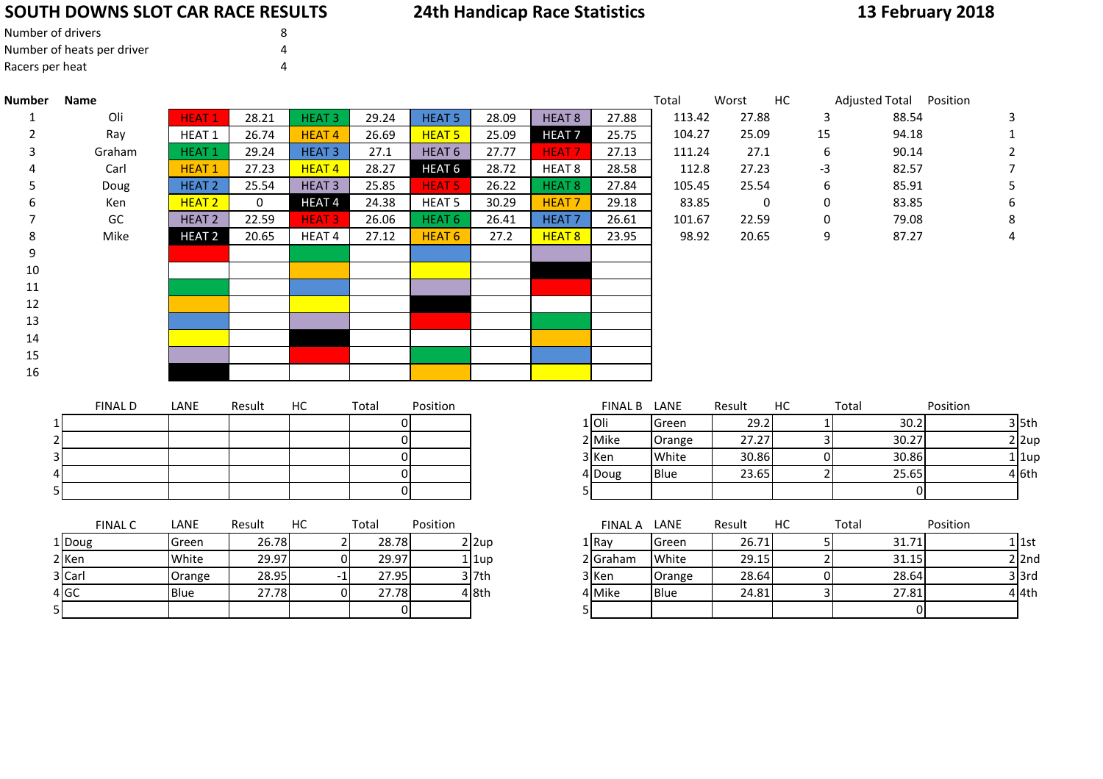# **SOUTH DOWNS SLOT CAR RACE RESULTS**

# **24th Handicap Race Statistics**

# **13 February 2018**

| Number of drivers          | 8 |
|----------------------------|---|
| Number of heats per driver |   |
| Racers per heat            |   |

4 <mark>GC</mark>

5

| <b>Number</b> | Name           |                   |        |                   |                |                   |          |                   |                | Total  | Worst       | HC             | Adjusted Total Position |           |
|---------------|----------------|-------------------|--------|-------------------|----------------|-------------------|----------|-------------------|----------------|--------|-------------|----------------|-------------------------|-----------|
| 1             | Oli            | <b>HEAT1</b>      | 28.21  | <b>HEAT3</b>      | 29.24          | <b>HEAT 5</b>     | 28.09    | HEAT <sub>8</sub> | 27.88          | 113.42 | 27.88       | $\overline{3}$ | 88.54                   | 3         |
| 2             | Ray            | HEAT 1            | 26.74  | <b>HEAT4</b>      | 26.69          | <b>HEAT 5</b>     | 25.09    | <b>HEAT7</b>      | 25.75          | 104.27 | 25.09       | 15             | 94.18                   |           |
| 3             | Graham         | <b>HEAT1</b>      | 29.24  | <b>HEAT3</b>      | 27.1           | HEAT <sub>6</sub> | 27.77    | <b>HEAT7</b>      | 27.13          | 111.24 | 27.1        | 6              | 90.14                   | 2         |
|               | Carl           | <b>HEAT1</b>      | 27.23  | <b>HEAT4</b>      | 28.27          | HEAT <sub>6</sub> | 28.72    | HEAT <sub>8</sub> | 28.58          | 112.8  | 27.23       | $-3$           | 82.57                   |           |
| 5             | Doug           | <b>HEAT 2</b>     | 25.54  | <b>HEAT3</b>      | 25.85          | <b>HEAT 5</b>     | 26.22    | HEAT <sub>8</sub> | 27.84          | 105.45 | 25.54       | 6              | 85.91                   | 5         |
|               | Ken            | HEAT <sub>2</sub> | 0      | HEAT <sub>4</sub> | 24.38          | HEAT <sub>5</sub> | 30.29    | <b>HEAT7</b>      | 29.18          | 83.85  | $\mathbf 0$ | 0              | 83.85                   | 6         |
|               | GC             | <b>HEAT 2</b>     | 22.59  | <b>HEAT3</b>      | 26.06          | HEAT <sub>6</sub> | 26.41    | <b>HEAT7</b>      | 26.61          | 101.67 | 22.59       | $\pmb{0}$      | 79.08                   | 8         |
| 8             | Mike           | <b>HEAT 2</b>     | 20.65  | HEAT <sub>4</sub> | 27.12          | HEAT <sub>6</sub> | 27.2     | HEAT 8            | 23.95          | 98.92  | 20.65       | 9              | 87.27                   | 4         |
| 9             |                |                   |        |                   |                |                   |          |                   |                |        |             |                |                         |           |
| 10            |                |                   |        |                   |                |                   |          |                   |                |        |             |                |                         |           |
| 11            |                |                   |        |                   |                |                   |          |                   |                |        |             |                |                         |           |
| 12            |                |                   |        |                   |                |                   |          |                   |                |        |             |                |                         |           |
| 13            |                |                   |        |                   |                |                   |          |                   |                |        |             |                |                         |           |
| 14            |                |                   |        |                   |                |                   |          |                   |                |        |             |                |                         |           |
| 15            |                |                   |        |                   |                |                   |          |                   |                |        |             |                |                         |           |
| 16            |                |                   |        |                   |                |                   |          |                   |                |        |             |                |                         |           |
|               |                |                   |        |                   |                |                   |          |                   |                |        |             |                |                         |           |
|               | <b>FINAL D</b> | LANE              | Result | HC                | Total          | Position          |          |                   | FINAL B LANE   |        | Result      | HC             | Total                   | Position  |
|               |                |                   |        |                   | $\Omega$       |                   |          |                   | $1$ Oli        | Green  | 29.2        |                | 30.2                    | $3$ 5th   |
|               |                |                   |        |                   | $\Omega$       |                   |          |                   | 2 Mike         | Orange | 27.27       | $\overline{3}$ | 30.27                   | $2$ 2up   |
|               |                |                   |        |                   | $\Omega$       |                   |          |                   | 3 Ken          | White  | 30.86       | $\mathbf{0}$   | 30.86                   | $1$  1up  |
|               |                |                   |        |                   | $\Omega$       |                   |          |                   | 4 Doug         | Blue   | 23.65       | $\overline{2}$ | 25.65                   | 46th      |
|               |                |                   |        |                   | $\overline{0}$ |                   |          |                   | 5 <sub>l</sub> |        |             |                | $\overline{0}$          |           |
|               |                |                   |        |                   |                |                   |          |                   |                |        |             |                |                         |           |
|               | <b>FINAL C</b> | LANE              | Result | HC                | Total          | Position          |          |                   | FINAL A LANE   |        | Result      | HC             | Total                   | Position  |
|               | Doug           | Green             | 26.78  | $\overline{2}$    | 28.78          |                   | $2$  2up |                   | $1$ Ray        | Green  | 26.71       | 5 <sub>l</sub> | 31.71                   | $1$ 1st   |
|               | 2 Ken          | White             | 29.97  | 0                 | 29.97          |                   | $1$  1up |                   | 2 Graham       | White  | 29.15       | $\overline{2}$ | 31.15                   | $2$  2nd  |
|               | 3 Carl         | Orange            | 28.95  | $-1$              | 27.95          |                   | $3$ 7th  |                   | 3 Ken          | Orange | 28.64       | $\mathbf{0}$   | 28.64                   | $3$ $3rd$ |

Blue 27.78 <sup>0</sup> 27.78 <sup>4</sup> 8th <sup>4</sup> Mike Blue 24.81 <sup>3</sup> 27.81 <sup>4</sup> 4th

<sup>0</sup> <sup>5</sup> <sup>0</sup>